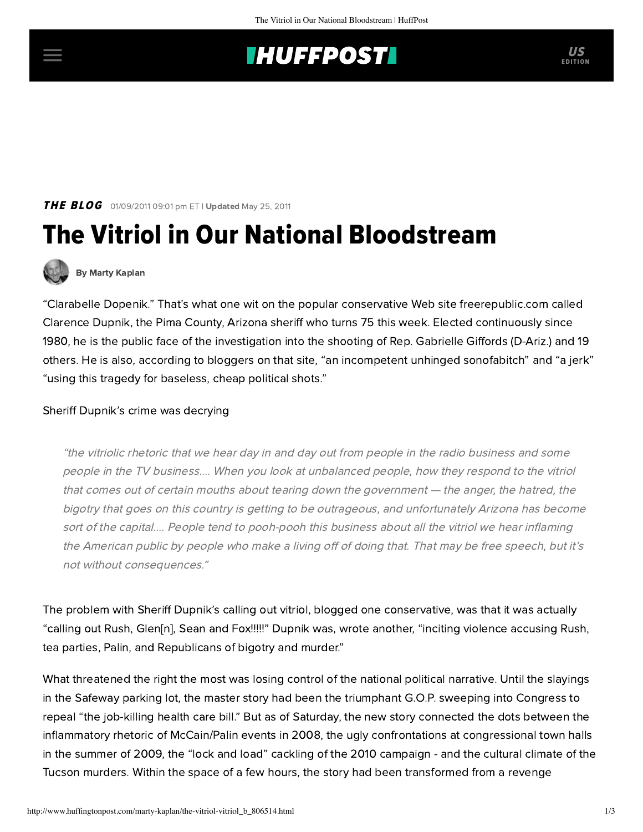# **INUFFPOSTI** US

## **THE BLOG** 01/09/2011 09:01 pm ET | Updated May 25, 2011

# The Vitriol in Our National Bloodstream



#### [By Marty Kaplan](http://www.huffingtonpost.com/author/marty-kaplan)

"Clarabelle Dopenik." That's what one wit on the popular conservative Web site [freerepublic.com](http://freerepublic.com/focus/f-news/2653599/posts) called Clarence Dupnik, the Pima County, Arizona sheriff who turns 75 this week. Elected continuously since 1980, he is the public face of the investigation into the shooting of Rep. Gabrielle Giffords (D-Ariz.) and 19 others. He is also, according to bloggers on that site, "an incompetent unhinged sonofabitch" and "a jerk" "using this tragedy for baseless, cheap political shots."

#### Sheriff Dupnik's crime was decrying

"the vitriolic rhetoric that we hear day in and day out from people in the radio business and some people in the TV business.... When you look at unbalanced people, how they respond to the vitriol that comes out of certain mouths about tearing down the government — the anger, the hatred, the bigotry that goes on this country is getting to be outrageous, and unfortunately Arizona has become sort of the capital.... People tend to pooh-pooh this business about all the vitriol we hear inflaming the American public by people who make a living off of doing that. That may be free speech, but it's not without consequences."

The problem with Sheriff Dupnik's calling out vitriol, blogged one conservative, was that it was actually "calling out Rush, Glen[n], Sean and Fox!!!!!" Dupnik was, wrote another, "inciting violence accusing Rush, tea parties, Palin, and Republicans of bigotry and murder."

What threatened the right the most was losing control of the national political narrative. Until the slayings in the Safeway parking lot, the master story had been the triumphant G.O.P. sweeping into Congress to repeal "the job-killing health care bill." But as of Saturday, the new story connected the dots between the inflammatory rhetoric of McCain/Palin events in 2008, the ugly confrontations at congressional town halls in the summer of 2009, the "lock and load" cackling of the 2010 campaign - and the cultural climate of the Tucson murders. Within the space of a few hours, the story had been transformed from a revenge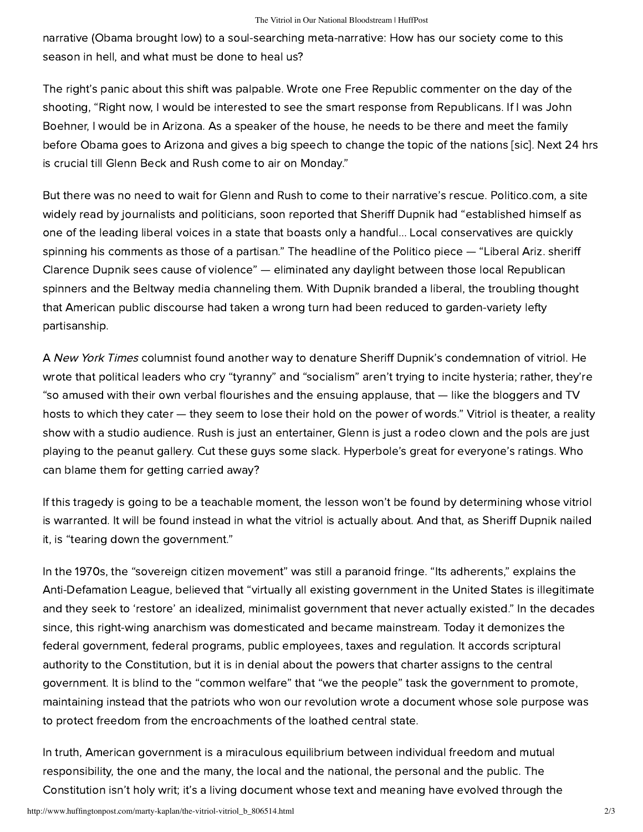narrative (Obama brought low) to a soul-searching meta-narrative: How has our society come to this season in hell, and what must be done to heal us?

The right's panic about this shift was palpable. Wrote one Free Republic commenter on the day of the [shooting, "Right now, I would be interested to see the smart response from Republicans. If I was John](http://freerepublic.com/focus/f-news/2653599/posts#30) Boehner, I would be in Arizona. As a speaker of the house, he needs to be there and meet the family before Obama goes to Arizona and gives a big speech to change the topic of the nations [sic]. Next 24 hrs is crucial till Glenn Beck and Rush come to air on Monday."

But there was no need to wait for Glenn and Rush to come to their narrative's rescue. Politico.com, a site widely read by journalists and politicians, soon [reported](http://www.politico.com/news/stories/0111/47293_Page2.html) that Sheriff Dupnik had "established himself as one of the leading liberal voices in a state that boasts only a handful... Local conservatives are quickly spinning his comments as those of a partisan." The headline of the Politico piece — "Liberal Ariz. sheriff Clarence Dupnik sees cause of violence" — eliminated any daylight between those local Republican spinners and the Beltway media channeling them. With Dupnik branded a liberal, the troubling thought that American public discourse had taken a wrong turn had been reduced to garden-variety lefty partisanship.

A New York Times columnist found another way to denature Sheriff Dupnik's condemnation of vitriol. He wrote that political leaders who cry "tyranny" and "socialism" aren't trying to incite hysteria; rather, they're "so amused with their own verbal flourishes and the ensuing applause, that — like the bloggers and TV hosts to which they cater — they seem to lose their hold on the power of words." Vitriol is theater, a reality show with a studio audience. Rush is just an entertainer, Glenn is just a rodeo clown and the pols are just playing to the peanut gallery. Cut these guys some slack. Hyperbole's great for everyone's ratings. Who can blame them for getting carried away?

If this tragedy is going to be a teachable moment, the lesson won't be found by determining whose vitriol is warranted. It will be found instead in what the vitriol is actually about. And that, as Sheriff Dupnik nailed it, is "tearing down the government."

In the 1970s, the ["sovereign citizen movement"](http://www.adl.org/learn/ext_us/SCM.asp?xpicked=4) was still a paranoid fringe. "Its adherents," explains the Anti-Defamation League, believed that "virtually all existing government in the United States is illegitimate and they seek to 'restore' an idealized, minimalist government that never actually existed." In the decades since, this right-wing anarchism was domesticated and became mainstream. Today it demonizes the federal government, federal programs, public employees, taxes and regulation. It accords scriptural authority to the Constitution, but it is in denial about the powers that charter assigns to the central government. It is blind to the "common welfare" that "we the people" task the government to promote, maintaining instead that the patriots who won our revolution wrote a document whose sole purpose was to protect freedom from the encroachments of the loathed central state.

In truth, American government is a miraculous equilibrium between individual freedom and mutual responsibility, the one and the many, the local and the national, the personal and the public. The Constitution isn't holy writ; it's a living document whose text and meaning have evolved through the